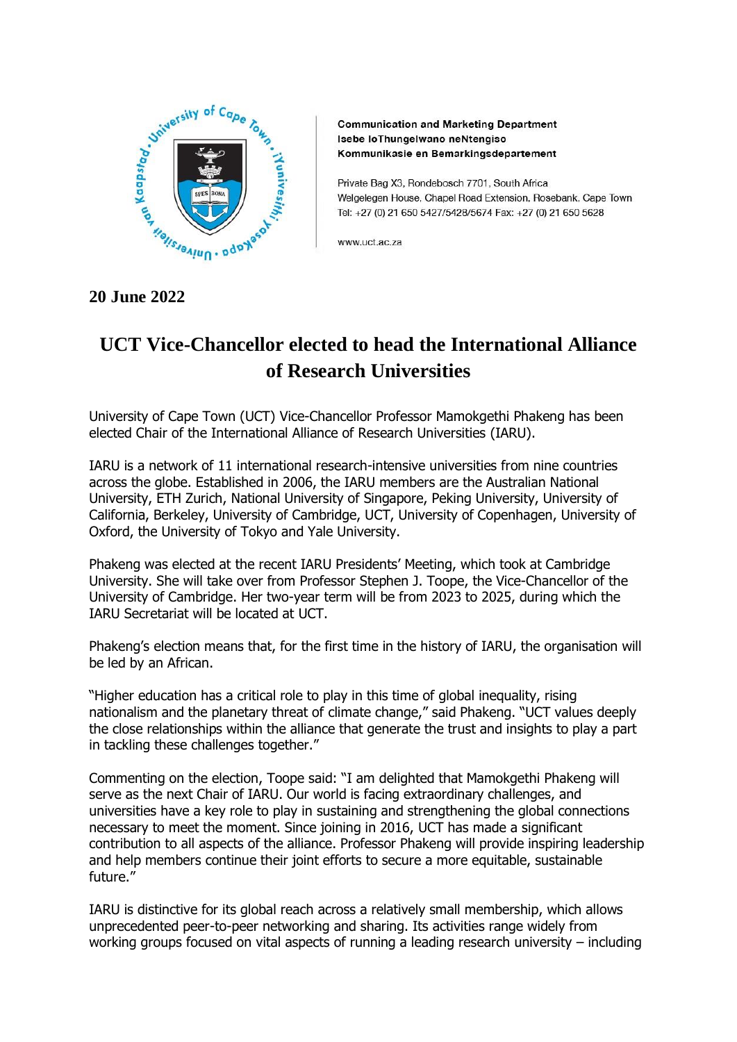

**Communication and Marketing Department** Isebe loThungelwano neNtengiso Kommunikasie en Bemarkingsdepartement

Private Bag X3, Rondebosch 7701, South Africa Welgelegen House, Chapel Road Extension, Rosebank, Cape Town Tel: +27 (0) 21 650 5427/5428/5674 Fax: +27 (0) 21 650 5628

www.uct.ac.za

## **UCT Vice-Chancellor elected to head the International Alliance of Research Universities**

University of Cape Town (UCT) Vice-Chancellor Professor Mamokgethi Phakeng has been elected Chair of the International Alliance of Research Universities (IARU).

IARU is a network of 11 international research-intensive universities from nine countries across the globe. Established in 2006, the IARU members are the Australian National University, ETH Zurich, National University of Singapore, Peking University, University of California, Berkeley, University of Cambridge, UCT, University of Copenhagen, University of Oxford, the University of Tokyo and Yale University.

Phakeng was elected at the recent IARU Presidents' Meeting, which took at Cambridge University. She will take over from Professor Stephen J. Toope, the Vice-Chancellor of the University of Cambridge. Her two-year term will be from 2023 to 2025, during which the IARU Secretariat will be located at UCT.

Phakeng's election means that, for the first time in the history of IARU, the organisation will be led by an African.

"Higher education has a critical role to play in this time of global inequality, rising nationalism and the planetary threat of climate change," said Phakeng. "UCT values deeply the close relationships within the alliance that generate the trust and insights to play a part in tackling these challenges together."

Commenting on the election, Toope said: "I am delighted that Mamokgethi Phakeng will serve as the next Chair of IARU. Our world is facing extraordinary challenges, and universities have a key role to play in sustaining and strengthening the global connections necessary to meet the moment. Since joining in 2016, UCT has made a significant contribution to all aspects of the alliance. Professor Phakeng will provide inspiring leadership and help members continue their joint efforts to secure a more equitable, sustainable future."

IARU is distinctive for its global reach across a relatively small membership, which allows unprecedented peer-to-peer networking and sharing. Its activities range widely from working groups focused on vital aspects of running a leading research university – including